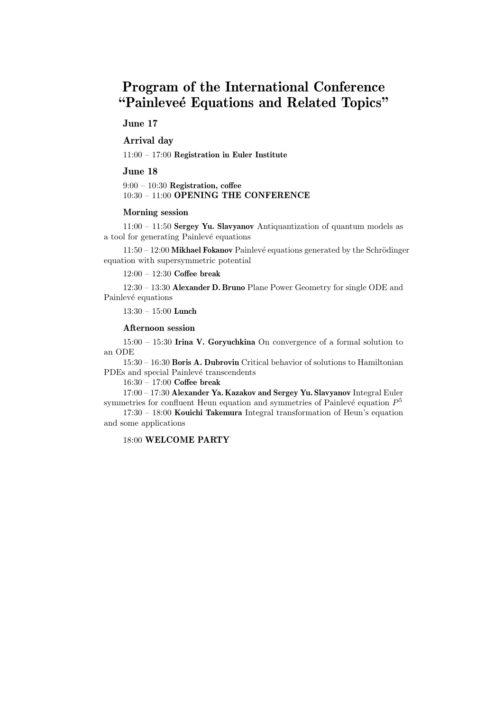# Program of the International Conference "Painleveé Equations and Related Topics"

# June 17

# Arrival day

11:00 – 17:00 Registration in Euler Institute

## June 18

 $9:00 - 10:30$  Registration, coffee 10:30 – 11:00 OPENING THE CONFERENCE

### Morning session

11:00 – 11:50 Sergey Yu. Slavyanov Antiquantization of quantum models as a tool for generating Painlevé equations

 $11:50 - 12:00$  Mikhael Fokanov Painlevé equations generated by the Schrödinger equation with supersymmetric potential

12:00 – 12:30 Coffee break

12:30 – 13:30 Alexander D. Bruno Plane Power Geometry for single ODE and Painlevé equations

13:30 – 15:00 Lunch

## Afternoon session

15:00 – 15:30 Irina V. Goryuchkina On convergence of a formal solution to an ODE

15:30 – 16:30 Boris A. Dubrovin Critical behavior of solutions to Hamiltonian PDEs and special Painlevé transcendents

16:30 – 17:00 Coffee break

17:00 – 17:30 Alexander Ya. Kazakov and Sergey Yu. Slavyanov Integral Euler symmetries for confluent Heun equation and symmetries of Painlevé equation  $P<sup>5</sup>$ 

 $17:30 - 18:00$  Kouichi Takemura Integral transformation of Heun's equation and some applications

# 18:00 WELCOME PARTY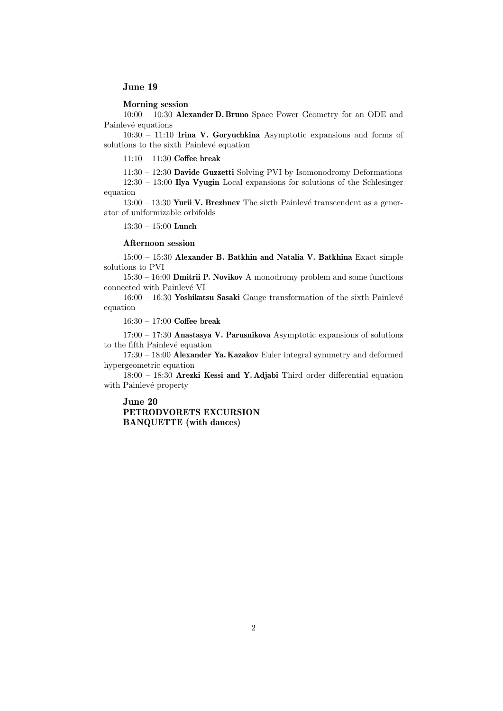## June 19

Morning session

10:00 – 10:30 Alexander D. Bruno Space Power Geometry for an ODE and Painlevé equations

10:30 – 11:10 Irina V. Goryuchkina Asymptotic expansions and forms of solutions to the sixth Painlevé equation

11:10 – 11:30 Coffee break

11:30 – 12:30 Davide Guzzetti Solving PVI by Isomonodromy Deformations 12:30 – 13:00 Ilya Vyugin Local expansions for solutions of the Schlesinger equation

 $13:00 - 13:30$  Yurii V. Brezhnev The sixth Painlevé transcendent as a generator of uniformizable orbifolds

13:30 – 15:00 Lunch

#### Afternoon session

15:00 – 15:30 Alexander B. Batkhin and Natalia V. Batkhina Exact simple solutions to PVI

15:30 – 16:00 Dmitrii P. Novikov A monodromy problem and some functions connected with Painlevé VI

 $16:00 - 16:30$  Yoshikatsu Sasaki Gauge transformation of the sixth Painlevé equation

16:30 – 17:00 Coffee break

 $17:00 - 17:30$  Anastasya V. Parusnikova Asymptotic expansions of solutions to the fifth Painlevé equation

17:30 – 18:00 Alexander Ya. Kazakov Euler integral symmetry and deformed hypergeometric equation

18:00 – 18:30 Arezki Kessi and Y. Adjabi Third order differential equation with Painlevé property

June 20 PETRODVORETS EXCURSION BANQUETTE (with dances)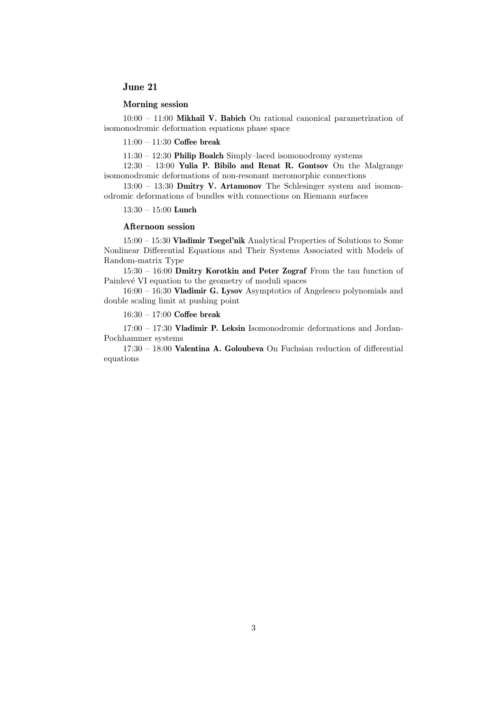# June 21

## Morning session

 $10:00 - 11:00$  Mikhail V. Babich On rational canonical parametrization of isomonodromic deformation equations phase space

11:00 – 11:30 Coffee break

11:30 – 12:30 Philip Boalch Simply–laced isomonodromy systems

12:30 – 13:00 Yulia P. Bibilo and Renat R. Gontsov On the Malgrange isomonodromic deformations of non-resonant meromorphic connections

13:00 – 13:30 Dmitry V. Artamonov The Schlesinger system and isomonodromic deformations of bundles with connections on Riemann surfaces

13:30 – 15:00 Lunch

#### Afternoon session

15:00 – 15:30 Vladimir Tsegel'nik Analytical Properties of Solutions to Some Nonlinear Differential Equations and Their Systems Associated with Models of Random-matrix Type

15:30 – 16:00 Dmitry Korotkin and Peter Zograf From the tau function of Painlevé VI equation to the geometry of moduli spaces

16:00 – 16:30 Vladimir G. Lysov Asymptotics of Angelesco polynomials and double scaling limit at pushing point

16:30 – 17:00 Coffee break

17:00 – 17:30 Vladimir P. Leksin Isomonodromic deformations and Jordan-Pochhammer systems

17:30 – 18:00 Valentina A. Goloubeva On Fuchsian reduction of differential equations